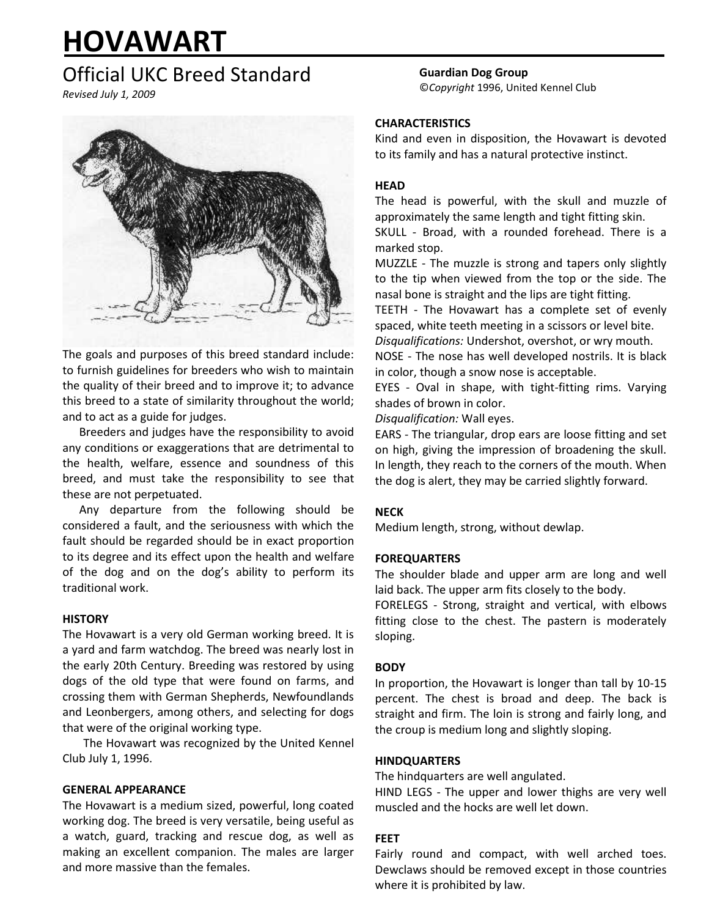# **HOVAWART**

# Official UKC Breed Standard

*Revised July 1, 2009*



The goals and purposes of this breed standard include: to furnish guidelines for breeders who wish to maintain the quality of their breed and to improve it; to advance this breed to a state of similarity throughout the world; and to act as a guide for judges.

Breeders and judges have the responsibility to avoid any conditions or exaggerations that are detrimental to the health, welfare, essence and soundness of this breed, and must take the responsibility to see that these are not perpetuated.

Any departure from the following should be considered a fault, and the seriousness with which the fault should be regarded should be in exact proportion to its degree and its effect upon the health and welfare of the dog and on the dog's ability to perform its traditional work.

# **HISTORY**

The Hovawart is a very old German working breed. It is a yard and farm watchdog. The breed was nearly lost in the early 20th Century. Breeding was restored by using dogs of the old type that were found on farms, and crossing them with German Shepherds, Newfoundlands and Leonbergers, among others, and selecting for dogs that were of the original working type.

The Hovawart was recognized by the United Kennel Club July 1, 1996.

# **GENERAL APPEARANCE**

The Hovawart is a medium sized, powerful, long coated working dog. The breed is very versatile, being useful as a watch, guard, tracking and rescue dog, as well as making an excellent companion. The males are larger and more massive than the females.

**Guardian Dog Group** ©*Copyright* 1996, United Kennel Club

# **CHARACTERISTICS**

Kind and even in disposition, the Hovawart is devoted to its family and has a natural protective instinct.

# **HEAD**

The head is powerful, with the skull and muzzle of approximately the same length and tight fitting skin.

SKULL - Broad, with a rounded forehead. There is a marked stop.

MUZZLE - The muzzle is strong and tapers only slightly to the tip when viewed from the top or the side. The nasal bone is straight and the lips are tight fitting.

TEETH - The Hovawart has a complete set of evenly spaced, white teeth meeting in a scissors or level bite.

*Disqualifications:* Undershot, overshot, or wry mouth. NOSE - The nose has well developed nostrils. It is black in color, though a snow nose is acceptable.

EYES - Oval in shape, with tight-fitting rims. Varying shades of brown in color.

*Disqualification:* Wall eyes.

EARS - The triangular, drop ears are loose fitting and set on high, giving the impression of broadening the skull. In length, they reach to the corners of the mouth. When the dog is alert, they may be carried slightly forward.

# **NECK**

Medium length, strong, without dewlap.

# **FOREQUARTERS**

The shoulder blade and upper arm are long and well laid back. The upper arm fits closely to the body.

FORELEGS - Strong, straight and vertical, with elbows fitting close to the chest. The pastern is moderately sloping.

# **BODY**

In proportion, the Hovawart is longer than tall by 10-15 percent. The chest is broad and deep. The back is straight and firm. The loin is strong and fairly long, and the croup is medium long and slightly sloping.

# **HINDQUARTERS**

The hindquarters are well angulated.

HIND LEGS - The upper and lower thighs are very well muscled and the hocks are well let down.

# **FEET**

Fairly round and compact, with well arched toes. Dewclaws should be removed except in those countries where it is prohibited by law.